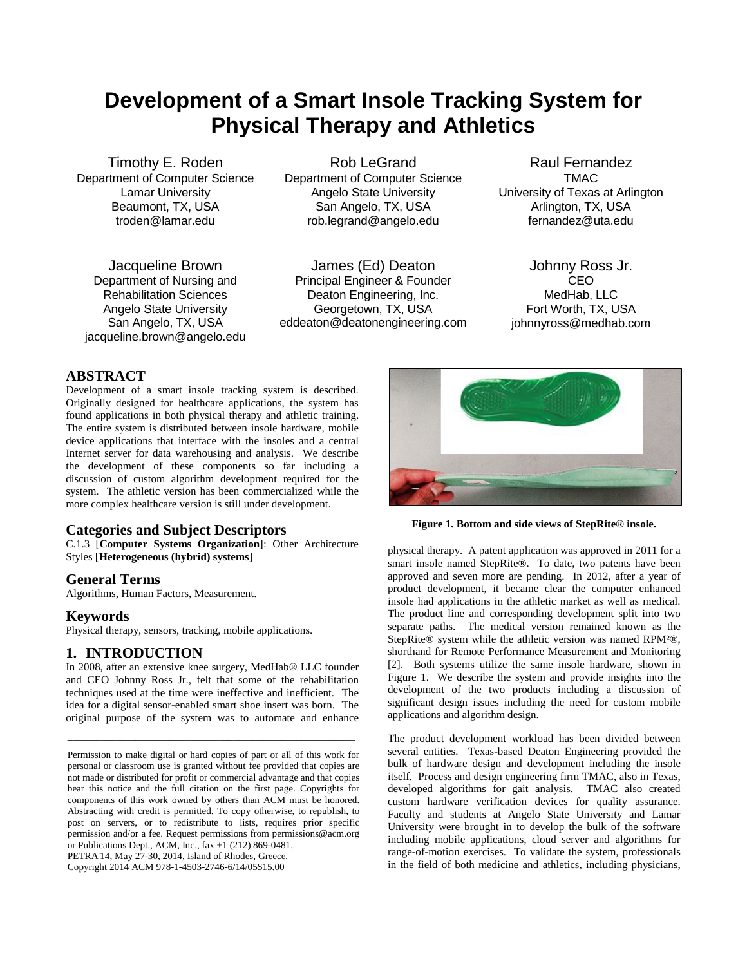# **Development of a Smart Insole Tracking System for Physical Therapy and Athletics**

Timothy E. Roden Department of Computer Science Lamar University Beaumont, TX, USA troden@lamar.edu

Jacqueline Brown Department of Nursing and Rehabilitation Sciences Angelo State University San Angelo, TX, USA jacqueline.brown@angelo.edu

Rob LeGrand Department of Computer Science Angelo State University San Angelo, TX, USA rob.legrand@angelo.edu

James (Ed) Deaton Principal Engineer & Founder Deaton Engineering, Inc. Georgetown, TX, USA eddeaton@deatonengineering.com

Raul Fernandez TMAC University of Texas at Arlington Arlington, TX, USA fernandez@uta.edu

Johnny Ross Jr. CEO MedHab, LLC Fort Worth, TX, USA johnnyross@medhab.com

# **ABSTRACT**

Development of a smart insole tracking system is described. Originally designed for healthcare applications, the system has found applications in both physical therapy and athletic training. The entire system is distributed between insole hardware, mobile device applications that interface with the insoles and a central Internet server for data warehousing and analysis. We describe the development of these components so far including a discussion of custom algorithm development required for the system. The athletic version has been commercialized while the more complex healthcare version is still under development.

## **Categories and Subject Descriptors**

C.1.3 [**Computer Systems Organization**]: Other Architecture Styles [**Heterogeneous (hybrid) systems**]

## **General Terms**

Algorithms, Human Factors, Measurement.

#### **Keywords**

Physical therapy, sensors, tracking, mobile applications.

## **1. INTRODUCTION**

In 2008, after an extensive knee surgery, MedHab® LLC founder and CEO Johnny Ross Jr., felt that some of the rehabilitation techniques used at the time were ineffective and inefficient. The idea for a digital sensor-enabled smart shoe insert was born. The original purpose of the system was to automate and enhance

\_\_\_\_\_\_\_\_\_\_\_\_\_\_\_\_\_\_\_\_\_\_\_\_\_\_\_\_\_\_\_\_\_\_\_\_\_\_\_\_\_\_\_\_\_\_\_\_\_\_\_\_\_\_\_\_\_\_\_

PETRA'14, May 27-30, 2014, Island of Rhodes, Greece.

Copyright 2014 ACM 978-1-4503-2746-6/14/05\$15.00



**Figure 1. Bottom and side views of StepRite® insole.**

physical therapy. A patent application was approved in 2011 for a smart insole named StepRite®. To date, two patents have been approved and seven more are pending. In 2012, after a year of product development, it became clear the computer enhanced insole had applications in the athletic market as well as medical. The product line and corresponding development split into two separate paths. The medical version remained known as the StepRite® system while the athletic version was named RPM²®, shorthand for Remote Performance Measurement and Monitoring [2]. Both systems utilize the same insole hardware, shown in Figure 1. We describe the system and provide insights into the development of the two products including a discussion of significant design issues including the need for custom mobile applications and algorithm design.

The product development workload has been divided between several entities. Texas-based Deaton Engineering provided the bulk of hardware design and development including the insole itself. Process and design engineering firm TMAC, also in Texas, developed algorithms for gait analysis. TMAC also created custom hardware verification devices for quality assurance. Faculty and students at Angelo State University and Lamar University were brought in to develop the bulk of the software including mobile applications, cloud server and algorithms for range-of-motion exercises. To validate the system, professionals in the field of both medicine and athletics, including physicians,

Permission to make digital or hard copies of part or all of this work for personal or classroom use is granted without fee provided that copies are not made or distributed for profit or commercial advantage and that copies bear this notice and the full citation on the first page. Copyrights for components of this work owned by others than ACM must be honored. Abstracting with credit is permitted. To copy otherwise, to republish, to post on servers, or to redistribute to lists, requires prior specific permission and/or a fee. Request permissions from permissions@acm.org or Publications Dept., ACM, Inc.,  $\hat{f}ax +1$  (212) 869-0481.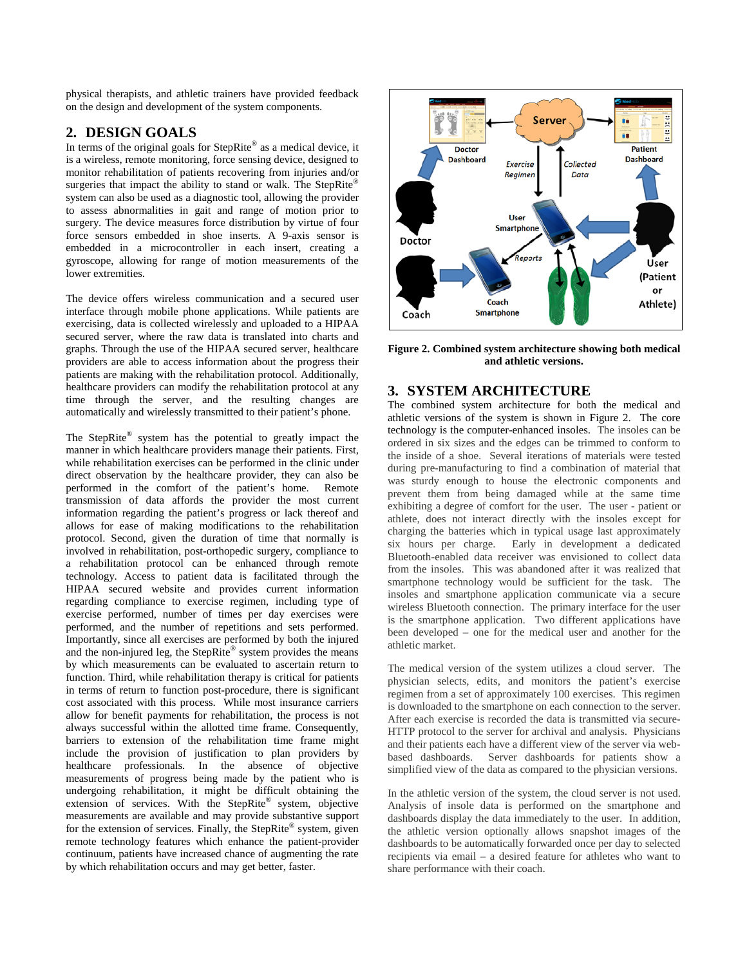physical therapists, and athletic trainers have provided feedback on the design and development of the system components.

## **2. DESIGN GOALS**

In terms of the original goals for StepRite® as a medical device, it is a wireless, remote monitoring, force sensing device, designed to monitor rehabilitation of patients recovering from injuries and/or surgeries that impact the ability to stand or walk. The StepRite® system can also be used as a diagnostic tool, allowing the provider to assess abnormalities in gait and range of motion prior to surgery. The device measures force distribution by virtue of four force sensors embedded in shoe inserts. A 9-axis sensor is embedded in a microcontroller in each insert, creating a gyroscope, allowing for range of motion measurements of the lower extremities.

The device offers wireless communication and a secured user interface through mobile phone applications. While patients are exercising, data is collected wirelessly and uploaded to a HIPAA secured server, where the raw data is translated into charts and graphs. Through the use of the HIPAA secured server, healthcare providers are able to access information about the progress their patients are making with the rehabilitation protocol. Additionally, healthcare providers can modify the rehabilitation protocol at any time through the server, and the resulting changes are automatically and wirelessly transmitted to their patient's phone.

The StepRite® system has the potential to greatly impact the manner in which healthcare providers manage their patients. First, while rehabilitation exercises can be performed in the clinic under direct observation by the healthcare provider, they can also be performed in the comfort of the patient's home. Remote transmission of data affords the provider the most current information regarding the patient's progress or lack thereof and allows for ease of making modifications to the rehabilitation protocol. Second, given the duration of time that normally is involved in rehabilitation, post-orthopedic surgery, compliance to a rehabilitation protocol can be enhanced through remote technology. Access to patient data is facilitated through the HIPAA secured website and provides current information regarding compliance to exercise regimen, including type of exercise performed, number of times per day exercises were performed, and the number of repetitions and sets performed. Importantly, since all exercises are performed by both the injured and the non-injured leg, the StepRite® system provides the means by which measurements can be evaluated to ascertain return to function. Third, while rehabilitation therapy is critical for patients in terms of return to function post-procedure, there is significant cost associated with this process. While most insurance carriers allow for benefit payments for rehabilitation, the process is not always successful within the allotted time frame. Consequently, barriers to extension of the rehabilitation time frame might include the provision of justification to plan providers by healthcare professionals. In the absence of objective measurements of progress being made by the patient who is undergoing rehabilitation, it might be difficult obtaining the extension of services. With the StepRite® system, objective measurements are available and may provide substantive support for the extension of services. Finally, the StepRite® system, given remote technology features which enhance the patient-provider continuum, patients have increased chance of augmenting the rate by which rehabilitation occurs and may get better, faster.



**Figure 2. Combined system architecture showing both medical and athletic versions.**

## **3. SYSTEM ARCHITECTURE**

The combined system architecture for both the medical and athletic versions of the system is shown in Figure 2. The core technology is the computer-enhanced insoles. The insoles can be ordered in six sizes and the edges can be trimmed to conform to the inside of a shoe. Several iterations of materials were tested during pre-manufacturing to find a combination of material that was sturdy enough to house the electronic components and prevent them from being damaged while at the same time exhibiting a degree of comfort for the user. The user - patient or athlete, does not interact directly with the insoles except for charging the batteries which in typical usage last approximately six hours per charge. Early in development a dedicated Bluetooth-enabled data receiver was envisioned to collect data from the insoles. This was abandoned after it was realized that smartphone technology would be sufficient for the task. The insoles and smartphone application communicate via a secure wireless Bluetooth connection. The primary interface for the user is the smartphone application. Two different applications have been developed – one for the medical user and another for the athletic market.

The medical version of the system utilizes a cloud server. The physician selects, edits, and monitors the patient's exercise regimen from a set of approximately 100 exercises. This regimen is downloaded to the smartphone on each connection to the server. After each exercise is recorded the data is transmitted via secure-HTTP protocol to the server for archival and analysis. Physicians and their patients each have a different view of the server via webbased dashboards. Server dashboards for patients show a simplified view of the data as compared to the physician versions.

In the athletic version of the system, the cloud server is not used. Analysis of insole data is performed on the smartphone and dashboards display the data immediately to the user. In addition, the athletic version optionally allows snapshot images of the dashboards to be automatically forwarded once per day to selected recipients via email – a desired feature for athletes who want to share performance with their coach.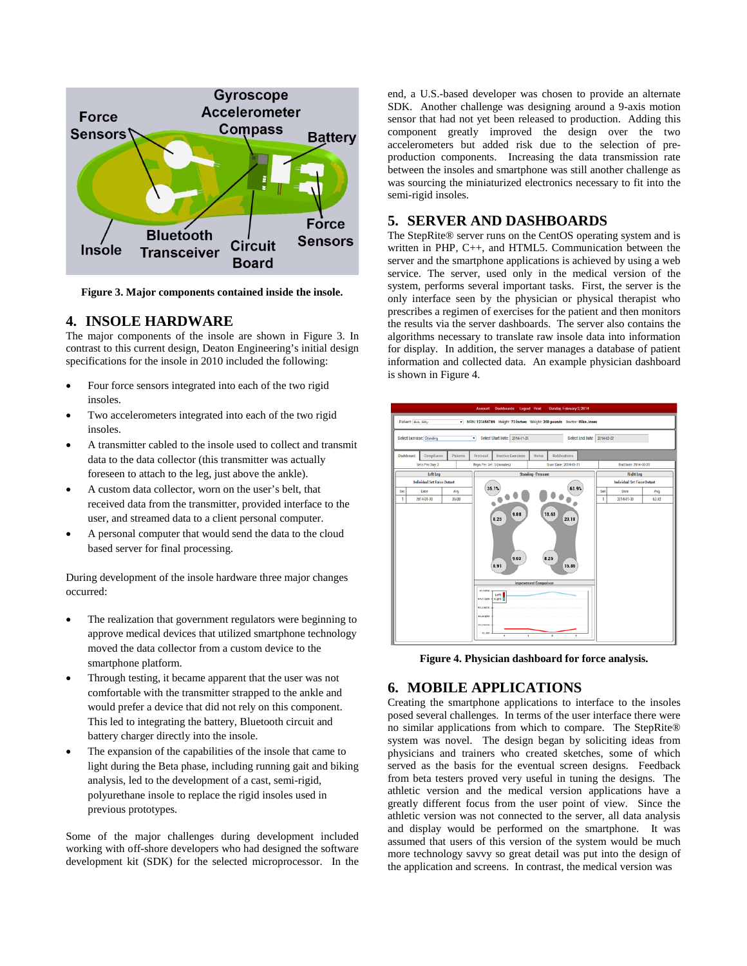

**Figure 3. Major components contained inside the insole.**

## **4. INSOLE HARDWARE**

The major components of the insole are shown in Figure 3. In contrast to this current design, Deaton Engineering's initial design specifications for the insole in 2010 included the following:

- Four force sensors integrated into each of the two rigid insoles.
- Two accelerometers integrated into each of the two rigid insoles.
- A transmitter cabled to the insole used to collect and transmit data to the data collector (this transmitter was actually foreseen to attach to the leg, just above the ankle).
- A custom data collector, worn on the user's belt, that received data from the transmitter, provided interface to the user, and streamed data to a client personal computer.
- A personal computer that would send the data to the cloud based server for final processing.

During development of the insole hardware three major changes occurred:

- The realization that government regulators were beginning to approve medical devices that utilized smartphone technology moved the data collector from a custom device to the smartphone platform.
- Through testing, it became apparent that the user was not comfortable with the transmitter strapped to the ankle and would prefer a device that did not rely on this component. This led to integrating the battery, Bluetooth circuit and battery charger directly into the insole.
- The expansion of the capabilities of the insole that came to light during the Beta phase, including running gait and biking analysis, led to the development of a cast, semi-rigid, polyurethane insole to replace the rigid insoles used in previous prototypes.

Some of the major challenges during development included working with off-shore developers who had designed the software development kit (SDK) for the selected microprocessor. In the end, a U.S.-based developer was chosen to provide an alternate SDK. Another challenge was designing around a 9-axis motion sensor that had not yet been released to production. Adding this component greatly improved the design over the two accelerometers but added risk due to the selection of preproduction components. Increasing the data transmission rate between the insoles and smartphone was still another challenge as was sourcing the miniaturized electronics necessary to fit into the semi-rigid insoles.

## **5. SERVER AND DASHBOARDS**

The StepRite® server runs on the CentOS operating system and is written in PHP, C++, and HTML5. Communication between the server and the smartphone applications is achieved by using a web service. The server, used only in the medical version of the system, performs several important tasks. First, the server is the only interface seen by the physician or physical therapist who prescribes a regimen of exercises for the patient and then monitors the results via the server dashboards. The server also contains the algorithms necessary to translate raw insole data into information for display. In addition, the server manages a database of patient information and collected data. An example physician dashboard is shown in Figure 4.



**Figure 4. Physician dashboard for force analysis.**

## **6. MOBILE APPLICATIONS**

Creating the smartphone applications to interface to the insoles posed several challenges. In terms of the user interface there were no similar applications from which to compare. The StepRite® system was novel. The design began by soliciting ideas from physicians and trainers who created sketches, some of which served as the basis for the eventual screen designs. Feedback from beta testers proved very useful in tuning the designs. The athletic version and the medical version applications have a greatly different focus from the user point of view. Since the athletic version was not connected to the server, all data analysis and display would be performed on the smartphone. It was assumed that users of this version of the system would be much more technology savvy so great detail was put into the design of the application and screens. In contrast, the medical version was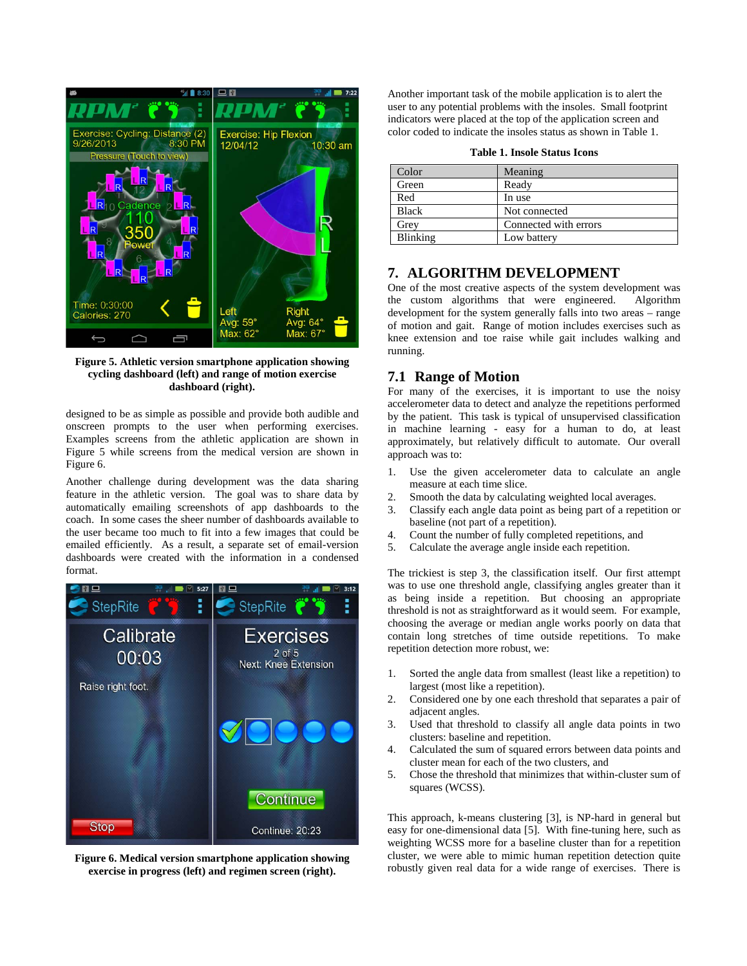

**Figure 5. Athletic version smartphone application showing cycling dashboard (left) and range of motion exercise dashboard (right).**

designed to be as simple as possible and provide both audible and onscreen prompts to the user when performing exercises. Examples screens from the athletic application are shown in Figure 5 while screens from the medical version are shown in Figure 6.

Another challenge during development was the data sharing feature in the athletic version. The goal was to share data by automatically emailing screenshots of app dashboards to the coach. In some cases the sheer number of dashboards available to the user became too much to fit into a few images that could be emailed efficiently. As a result, a separate set of email-version dashboards were created with the information in a condensed format.



**Figure 6. Medical version smartphone application showing exercise in progress (left) and regimen screen (right).**

Another important task of the mobile application is to alert the user to any potential problems with the insoles. Small footprint indicators were placed at the top of the application screen and color coded to indicate the insoles status as shown in Table 1.

|  | <b>Table 1. Insole Status Icons</b> |  |  |
|--|-------------------------------------|--|--|
|--|-------------------------------------|--|--|

| Color        | Meaning               |  |
|--------------|-----------------------|--|
| Green        | Ready                 |  |
| Red          | In use                |  |
| <b>Black</b> | Not connected         |  |
| Grev         | Connected with errors |  |
| Blinking     | Low battery           |  |

## **7. ALGORITHM DEVELOPMENT**

One of the most creative aspects of the system development was<br>the custom algorithms that were engineered. Algorithm the custom algorithms that were engineered. development for the system generally falls into two areas – range of motion and gait. Range of motion includes exercises such as knee extension and toe raise while gait includes walking and running.

#### **7.1 Range of Motion**

For many of the exercises, it is important to use the noisy accelerometer data to detect and analyze the repetitions performed by the patient. This task is typical of unsupervised classification in machine learning - easy for a human to do, at least approximately, but relatively difficult to automate. Our overall approach was to:

- 1. Use the given accelerometer data to calculate an angle measure at each time slice.
- 2. Smooth the data by calculating weighted local averages.<br>3. Classify each angle data point as being part of a repetition
- 3. Classify each angle data point as being part of a repetition or baseline (not part of a repetition).
- 4. Count the number of fully completed repetitions, and
- 5. Calculate the average angle inside each repetition.

The trickiest is step 3, the classification itself. Our first attempt was to use one threshold angle, classifying angles greater than it as being inside a repetition. But choosing an appropriate threshold is not as straightforward as it would seem. For example, choosing the average or median angle works poorly on data that contain long stretches of time outside repetitions. To make repetition detection more robust, we:

- 1. Sorted the angle data from smallest (least like a repetition) to largest (most like a repetition).
- 2. Considered one by one each threshold that separates a pair of adjacent angles.
- 3. Used that threshold to classify all angle data points in two clusters: baseline and repetition.
- 4. Calculated the sum of squared errors between data points and cluster mean for each of the two clusters, and
- 5. Chose the threshold that minimizes that within-cluster sum of squares (WCSS).

This approach, k-means clustering [3], is NP-hard in general but easy for one-dimensional data [5]. With fine-tuning here, such as weighting WCSS more for a baseline cluster than for a repetition cluster, we were able to mimic human repetition detection quite robustly given real data for a wide range of exercises. There is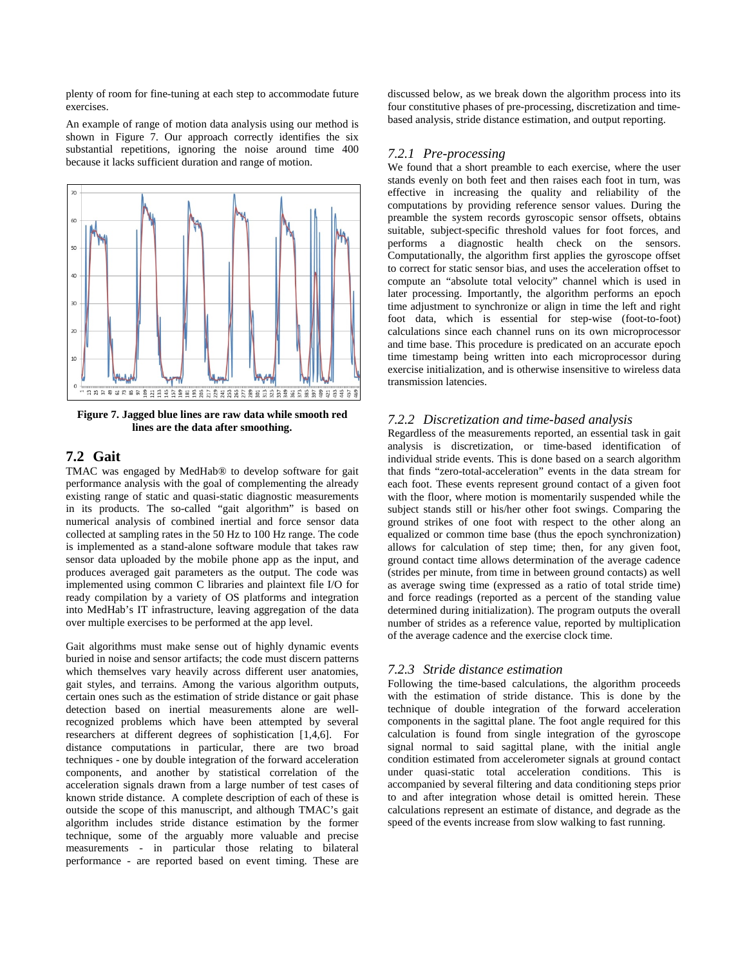plenty of room for fine-tuning at each step to accommodate future exercises.

An example of range of motion data analysis using our method is shown in Figure 7. Our approach correctly identifies the six substantial repetitions, ignoring the noise around time 400 because it lacks sufficient duration and range of motion.



**Figure 7. Jagged blue lines are raw data while smooth red lines are the data after smoothing.**

# **7.2 Gait**

TMAC was engaged by MedHab® to develop software for gait performance analysis with the goal of complementing the already existing range of static and quasi-static diagnostic measurements in its products. The so-called "gait algorithm" is based on numerical analysis of combined inertial and force sensor data collected at sampling rates in the 50 Hz to 100 Hz range. The code is implemented as a stand-alone software module that takes raw sensor data uploaded by the mobile phone app as the input, and produces averaged gait parameters as the output. The code was implemented using common C libraries and plaintext file I/O for ready compilation by a variety of OS platforms and integration into MedHab's IT infrastructure, leaving aggregation of the data over multiple exercises to be performed at the app level.

Gait algorithms must make sense out of highly dynamic events buried in noise and sensor artifacts; the code must discern patterns which themselves vary heavily across different user anatomies, gait styles, and terrains. Among the various algorithm outputs, certain ones such as the estimation of stride distance or gait phase detection based on inertial measurements alone are wellrecognized problems which have been attempted by several researchers at different degrees of sophistication [1,4,6]. For distance computations in particular, there are two broad techniques - one by double integration of the forward acceleration components, and another by statistical correlation of the acceleration signals drawn from a large number of test cases of known stride distance. A complete description of each of these is outside the scope of this manuscript, and although TMAC's gait algorithm includes stride distance estimation by the former technique, some of the arguably more valuable and precise measurements - in particular those relating to bilateral performance - are reported based on event timing. These are discussed below, as we break down the algorithm process into its four constitutive phases of pre-processing, discretization and timebased analysis, stride distance estimation, and output reporting.

#### *7.2.1 Pre-processing*

We found that a short preamble to each exercise, where the user stands evenly on both feet and then raises each foot in turn, was effective in increasing the quality and reliability of the computations by providing reference sensor values. During the preamble the system records gyroscopic sensor offsets, obtains suitable, subject-specific threshold values for foot forces, and performs a diagnostic health check on the sensors. Computationally, the algorithm first applies the gyroscope offset to correct for static sensor bias, and uses the acceleration offset to compute an "absolute total velocity" channel which is used in later processing. Importantly, the algorithm performs an epoch time adjustment to synchronize or align in time the left and right foot data, which is essential for step-wise (foot-to-foot) calculations since each channel runs on its own microprocessor and time base. This procedure is predicated on an accurate epoch time timestamp being written into each microprocessor during exercise initialization, and is otherwise insensitive to wireless data transmission latencies.

#### *7.2.2 Discretization and time-based analysis*

Regardless of the measurements reported, an essential task in gait analysis is discretization, or time-based identification of individual stride events. This is done based on a search algorithm that finds "zero-total-acceleration" events in the data stream for each foot. These events represent ground contact of a given foot with the floor, where motion is momentarily suspended while the subject stands still or his/her other foot swings. Comparing the ground strikes of one foot with respect to the other along an equalized or common time base (thus the epoch synchronization) allows for calculation of step time; then, for any given foot, ground contact time allows determination of the average cadence (strides per minute, from time in between ground contacts) as well as average swing time (expressed as a ratio of total stride time) and force readings (reported as a percent of the standing value determined during initialization). The program outputs the overall number of strides as a reference value, reported by multiplication of the average cadence and the exercise clock time.

#### *7.2.3 Stride distance estimation*

Following the time-based calculations, the algorithm proceeds with the estimation of stride distance. This is done by the technique of double integration of the forward acceleration components in the sagittal plane. The foot angle required for this calculation is found from single integration of the gyroscope signal normal to said sagittal plane, with the initial angle condition estimated from accelerometer signals at ground contact under quasi-static total acceleration conditions. This is accompanied by several filtering and data conditioning steps prior to and after integration whose detail is omitted herein. These calculations represent an estimate of distance, and degrade as the speed of the events increase from slow walking to fast running.